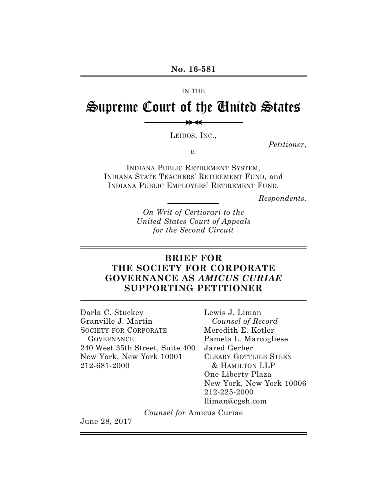#### IN THE

# Supreme Court of the United States

>> >>

LEIDOS, INC.,

*Petitioner,*

*v.*

INDIANA PUBLIC RETIREMENT SYSTEM, INDIANA STATE TEACHERS' RETIREMENT FUND, and INDIANA PUBLIC EMPLOYEES' RETIREMENT FUND,

*Respondents.*

*On Writ of Certiorari to the United States Court of Appeals for the Second Circuit*

### **BRIEF FOR THE SOCIETY FOR CORPORATE GOVERNANCE AS** *AMICUS CURIAE*  **SUPPORTING PETITIONER**

Darla C. Stuckey Granville J. Martin SOCIETY FOR CORPORATE **GOVERNANCE** 240 West 35th Street, Suite 400 New York, New York 10001 212-681-2000

Lewis J. Liman *Counsel of Record* Meredith E. Kotler Pamela L. Marcogliese Jared Gerber CLEARY GOTTLIEB STEEN & HAMILTON LLP One Liberty Plaza New York, New York 10006 212-225-2000 lliman@cgsh.com

*Counsel for* Amicus Curiae

June 28, 2017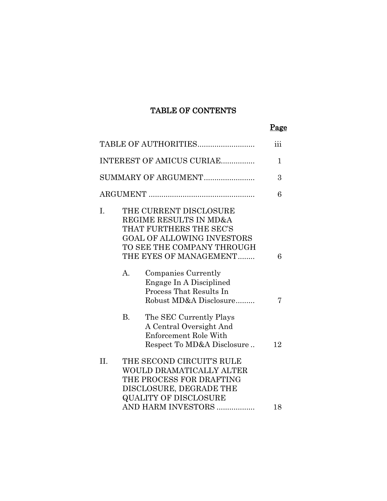### TABLE OF CONTENTS

### Page

|                           |                | TABLE OF AUTHORITIES                                                                                                                                                     | $\overline{\text{iii}}$ |
|---------------------------|----------------|--------------------------------------------------------------------------------------------------------------------------------------------------------------------------|-------------------------|
| INTEREST OF AMICUS CURIAE |                | $\mathbf 1$                                                                                                                                                              |                         |
|                           |                | SUMMARY OF ARGUMENT                                                                                                                                                      | 3                       |
|                           |                |                                                                                                                                                                          | 6                       |
| I.                        |                | THE CURRENT DISCLOSURE<br>REGIME RESULTS IN MD&A<br>THAT FURTHERS THE SEC'S<br><b>GOAL OF ALLOWING INVESTORS</b><br>TO SEE THE COMPANY THROUGH<br>THE EYES OF MANAGEMENT | 6                       |
|                           | $\mathbf{A}$ . | Companies Currently<br>Engage In A Disciplined<br>Process That Results In<br>Robust MD&A Disclosure                                                                      | 7                       |
|                           | <b>B.</b>      | The SEC Currently Plays<br>A Central Oversight And<br>Enforcement Role With<br>Respect To MD&A Disclosure                                                                | 12                      |
| II.                       |                | THE SECOND CIRCUIT'S RULE<br>WOULD DRAMATICALLY ALTER<br>THE PROCESS FOR DRAFTING<br>DISCLOSURE, DEGRADE THE<br><b>QUALITY OF DISCLOSURE</b><br>AND HARM INVESTORS       | 18                      |
|                           |                |                                                                                                                                                                          |                         |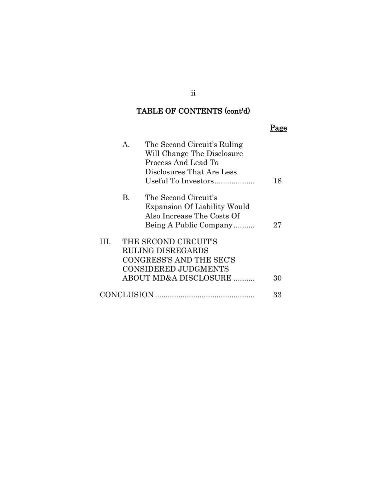### TABLE OF CONTENTS (cont'd)

| A.<br>The Second Circuit's Ruling<br>Will Change The Disclosure<br>Process And Lead To<br>Disclosures That Are Less<br>Useful To Investors | 18 |
|--------------------------------------------------------------------------------------------------------------------------------------------|----|
| The Second Circuit's<br>В.<br><b>Expansion Of Liability Would</b><br>Also Increase The Costs Of<br>Being A Public Company                  | 27 |
| THE SECOND CIRCUIT'S<br>Ш.<br><b>RULING DISREGARDS</b><br>CONGRESS'S AND THE SEC'S<br><b>CONSIDERED JUDGMENTS</b><br>ABOUT MD&A DISCLOSURE | 30 |
| CONCLUSION.                                                                                                                                | 33 |

ii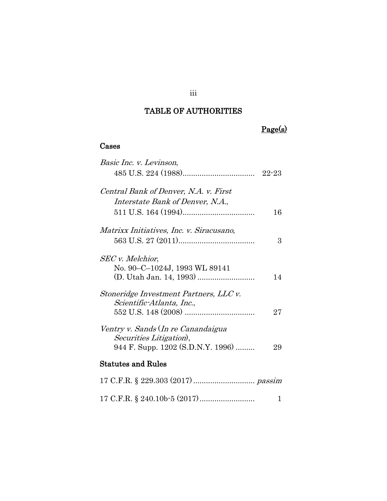### TABLE OF AUTHORITIES

### Cases

| Basic Inc. v. Levinson,                                                                            |    |
|----------------------------------------------------------------------------------------------------|----|
|                                                                                                    |    |
| Central Bank of Denver, N.A. v. First<br>Interstate Bank of Denver, N.A.,                          |    |
|                                                                                                    | 16 |
| Matrixx Initiatives, Inc. v. Siracusano,                                                           | 3  |
|                                                                                                    |    |
| <b>SEC</b> v. Melchior,<br>No. 90-C-1024J, 1993 WL 89141                                           | 14 |
| Stoneridge Investment Partners, LLC v.<br>Scientific-Atlanta, Inc.,                                | 27 |
| Ventry v. Sands (In re Canandaigua<br>Securities Litigation),<br>944 F. Supp. 1202 (S.D.N.Y. 1996) | 29 |
| <b>Statutes and Rules</b>                                                                          |    |
|                                                                                                    |    |
|                                                                                                    | 1  |

### iii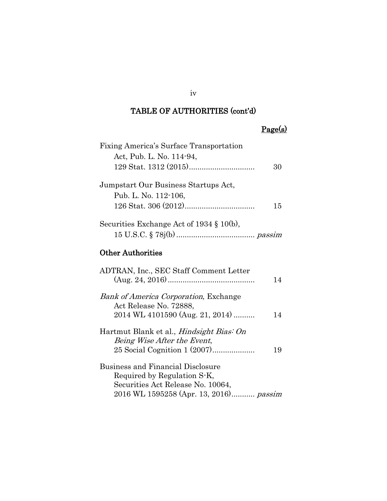|--|

| Fixing America's Surface Transportation                                        |    |
|--------------------------------------------------------------------------------|----|
| Act, Pub. L. No. 114-94,                                                       |    |
|                                                                                | 30 |
| Jumpstart Our Business Startups Act,                                           |    |
| Pub. L. No. 112-106,                                                           |    |
|                                                                                | 15 |
| Securities Exchange Act of $1934 \t{3} 10(b)$ ,                                |    |
|                                                                                |    |
| <b>Other Authorities</b>                                                       |    |
| ADTRAN, Inc., SEC Staff Comment Letter                                         | 14 |
| <b>Bank of America Corporation, Exchange</b><br>Act Release No. 72888,         |    |
| 2014 WL 4101590 (Aug. 21, 2014)                                                | 14 |
| Hartmut Blank et al., <i>Hindsight Bias: On</i><br>Being Wise After the Event, |    |
| 25 Social Cognition 1 (2007)                                                   | 19 |
| <b>Business and Financial Disclosure</b>                                       |    |
| Required by Regulation S-K,                                                    |    |
| Securities Act Release No. 10064,                                              |    |
| 2016 WL 1595258 (Apr. 13, 2016) passim                                         |    |

iv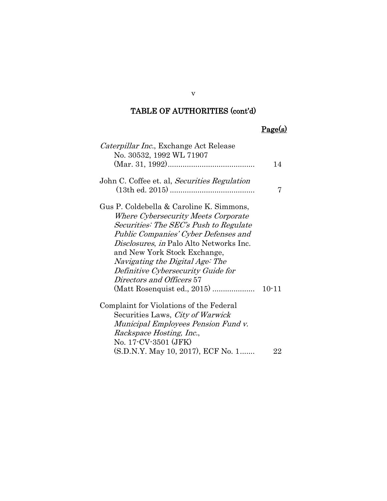## Page(s)

| Caterpillar Inc., Exchange Act Release         |           |
|------------------------------------------------|-----------|
| No. 30532, 1992 WL 71907                       |           |
|                                                | 14        |
|                                                |           |
| John C. Coffee et. al, Securities Regulation   |           |
|                                                | 7         |
| Gus P. Coldebella & Caroline K. Simmons,       |           |
| <i>Where Cybersecurity Meets Corporate</i>     |           |
| Securities: The SEC's Push to Regulate         |           |
| Public Companies' Cyber Defenses and           |           |
| <i>Disclosures, in Palo Alto Networks Inc.</i> |           |
| and New York Stock Exchange,                   |           |
| Navigating the Digital Age: The                |           |
| Definitive Cybersecurity Guide for             |           |
| Directors and Officers 57                      |           |
| (Matt Rosenquist ed., 2015)                    | $10 - 11$ |
| Complaint for Violations of the Federal        |           |
| Securities Laws, <i>City of Warwick</i>        |           |
| Municipal Employees Pension Fund v.            |           |
| Rackspace Hosting, Inc.,                       |           |
| No. 17-CV-3501 (JFK)                           |           |
| (S.D.N.Y. May 10, 2017), ECF No. 1             | 22        |

v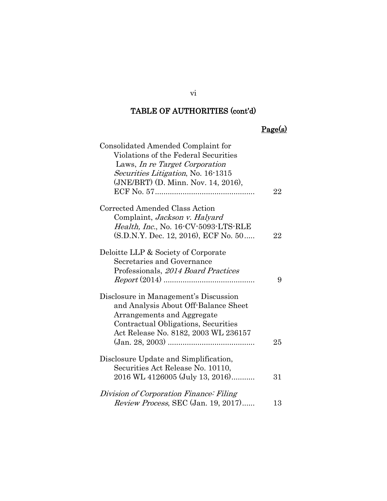## Page(s)

| Consolidated Amended Complaint for          |    |
|---------------------------------------------|----|
| Violations of the Federal Securities        |    |
| Laws, In re Target Corporation              |    |
| Securities Litigation, No. 16-1315          |    |
| (JNE/BRT) (D. Minn. Nov. 14, 2016),         |    |
|                                             | 22 |
| Corrected Amended Class Action              |    |
| Complaint, Jackson v. Halyard               |    |
| Health, Inc., No. 16-CV-5093-LTS-RLE        |    |
| (S.D.N.Y. Dec. 12, 2016), ECF No. 50        | 22 |
| Deloitte LLP & Society of Corporate         |    |
| Secretaries and Governance                  |    |
| Professionals, 2014 Board Practices         |    |
|                                             | 9  |
| Disclosure in Management's Discussion       |    |
| and Analysis About Off-Balance Sheet        |    |
| Arrangements and Aggregate                  |    |
| Contractual Obligations, Securities         |    |
| Act Release No. 8182, 2003 WL 236157        |    |
|                                             | 25 |
| Disclosure Update and Simplification,       |    |
| Securities Act Release No. 10110,           |    |
| 2016 WL 4126005 (July 13, 2016)             | 31 |
| Division of Corporation Finance: Filing     |    |
| <i>Review Process</i> , SEC (Jan. 19, 2017) | 13 |

vi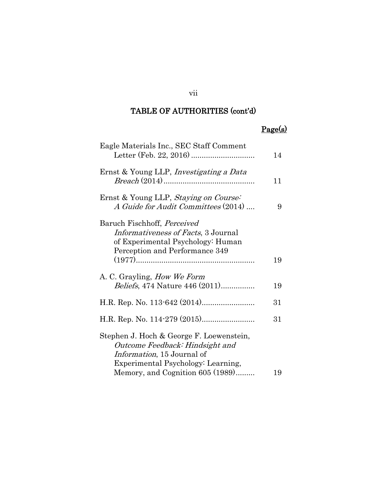## Page(s)

| Eagle Materials Inc., SEC Staff Comment                                                                                                                 | 14 |
|---------------------------------------------------------------------------------------------------------------------------------------------------------|----|
| Ernst & Young LLP, <i>Investigating a Data</i>                                                                                                          | 11 |
| Ernst & Young LLP, Staying on Course:<br>A Guide for Audit Committees (2014)                                                                            | 9  |
| Baruch Fischhoff, Perceived<br><i>Informativeness of Facts</i> , 3 Journal<br>of Experimental Psychology: Human<br>Perception and Performance 349       |    |
|                                                                                                                                                         | 19 |
| A. C. Grayling, <i>How We Form</i>                                                                                                                      |    |
| <i>Beliefs</i> , 474 Nature 446 (2011)                                                                                                                  | 19 |
|                                                                                                                                                         | 31 |
|                                                                                                                                                         | 31 |
| Stephen J. Hoch & George F. Loewenstein,<br>Outcome Feedback: Hindsight and<br><i>Information</i> , 15 Journal of<br>Experimental Psychology: Learning, |    |
| Memory, and Cognition 605 (1989)                                                                                                                        | 19 |

### vii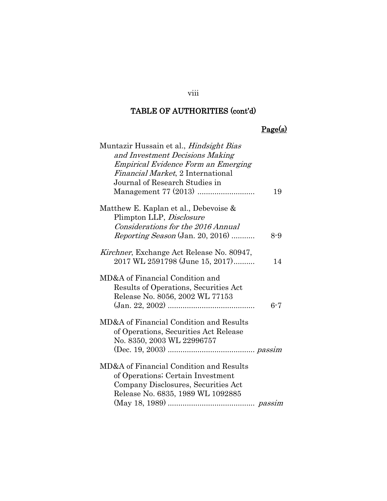### viii

### TABLE OF AUTHORITIES (cont'd)

## Page(s)

| Muntazir Hussain et al., <i>Hindsight Bias</i>    |         |
|---------------------------------------------------|---------|
| and Investment Decisions Making                   |         |
| Empirical Evidence Form an Emerging               |         |
| Financial Market, 2 International                 |         |
| Journal of Research Studies in                    |         |
|                                                   | 19      |
| Matthew E. Kaplan et al., Debevoise &             |         |
| Plimpton LLP, Disclosure                          |         |
| Considerations for the 2016 Annual                |         |
| <i>Reporting Season</i> (Jan. 20, 2016)           | $8 - 9$ |
| <i>Kirchner</i> , Exchange Act Release No. 80947, |         |
| 2017 WL 2591798 (June 15, 2017)                   | 14      |
| MD&A of Financial Condition and                   |         |
| Results of Operations, Securities Act             |         |
| Release No. 8056, 2002 WL 77153                   |         |
|                                                   | $6 - 7$ |
| MD&A of Financial Condition and Results           |         |
| of Operations, Securities Act Release             |         |
| No. 8350, 2003 WL 22996757                        |         |
|                                                   |         |
| MD&A of Financial Condition and Results           |         |
| of Operations; Certain Investment                 |         |
| Company Disclosures, Securities Act               |         |
| Release No. 6835, 1989 WL 1092885                 |         |
|                                                   |         |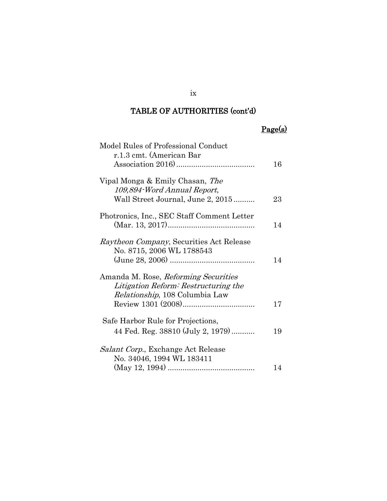## Page(s)

| Model Rules of Professional Conduct              |    |
|--------------------------------------------------|----|
| r.1.3 cmt. (American Bar                         |    |
|                                                  | 16 |
|                                                  |    |
| Vipal Monga & Emily Chasan, The                  |    |
| 109,894 Word Annual Report,                      |    |
| Wall Street Journal, June 2, 2015                | 23 |
|                                                  |    |
| Photronics, Inc., SEC Staff Comment Letter       |    |
|                                                  | 14 |
|                                                  |    |
| <i>Raytheon Company</i> , Securities Act Release |    |
|                                                  |    |
| No. 8715, 2006 WL 1788543                        |    |
|                                                  | 14 |
|                                                  |    |
| Amanda M. Rose, Reforming Securities             |    |
| Litigation Reform: Restructuring the             |    |
| Relationship, 108 Columbia Law                   |    |
|                                                  | 17 |
|                                                  |    |
| Safe Harbor Rule for Projections,                |    |
| 44 Fed. Reg. 38810 (July 2, 1979)                | 19 |
|                                                  |    |
| <i>Salant Corp.</i> , Exchange Act Release       |    |
| No. 34046, 1994 WL 183411                        |    |
|                                                  |    |
|                                                  | 14 |

ix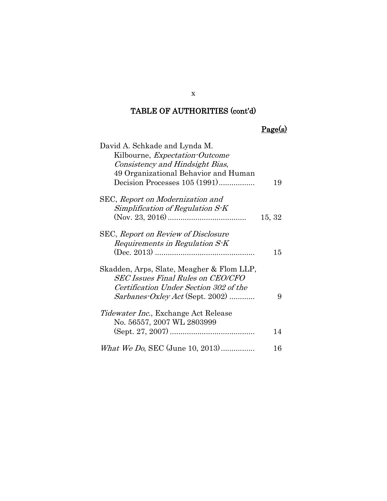## Page(s)

| David A. Schkade and Lynda M.                |        |
|----------------------------------------------|--------|
| Kilbourne, <i>Expectation-Outcome</i>        |        |
| Consistency and Hindsight Bias,              |        |
| 49 Organizational Behavior and Human         |        |
| Decision Processes 105 (1991)                | 19     |
| SEC, Report on Modernization and             |        |
| Simplification of Regulation $S-K$           |        |
|                                              | 15, 32 |
| SEC, <i>Report on Review of Disclosure</i>   |        |
| Requirements in Regulation S-K               |        |
|                                              | 15     |
| Skadden, Arps, Slate, Meagher & Flom LLP,    |        |
| <b>SEC Issues Final Rules on CEO/CFO</b>     |        |
| Certification Under Section 302 of the       |        |
| $Sarbanes-Oxley Act$ (Sept. 2002)            | 9      |
| <i>Tidewater Inc.</i> , Exchange Act Release |        |
| No. 56557, 2007 WL 2803999                   |        |
|                                              | 14     |
| What We Do, SEC (June 10, 2013)              | 16     |

x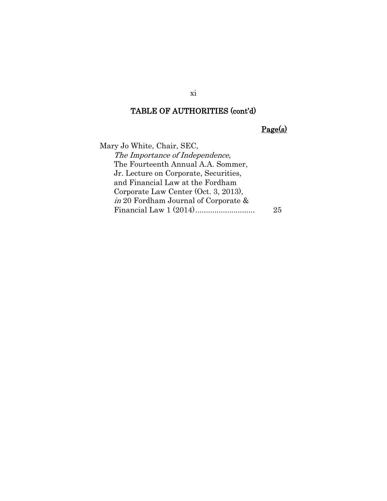Page(s)

Mary Jo White, Chair, SEC, The Importance of Independence, The Fourteenth Annual A.A. Sommer, Jr. Lecture on Corporate, Securities, and Financial Law at the Fordham Corporate Law Center (Oct. 3, 2013), in 20 Fordham Journal of Corporate & Financial Law 1 (2014)............................ 25

xi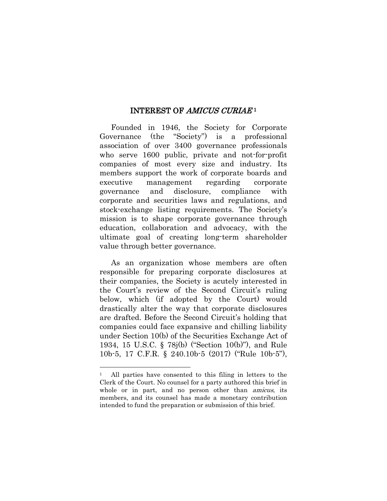#### INTEREST OF *AMICUS CURIAE*<sup>1</sup>

<span id="page-12-0"></span>Founded in 1946, the Society for Corporate Governance (the "Society") is a professional association of over 3400 governance professionals who serve 1600 public, private and not-for-profit companies of most every size and industry. Its members support the work of corporate boards and executive management regarding corporate governance and disclosure, compliance with corporate and securities laws and regulations, and stock-exchange listing requirements. The Society's mission is to shape corporate governance through education, collaboration and advocacy, with the ultimate goal of creating long-term shareholder value through better governance.

As an organization whose members are often responsible for preparing corporate disclosures at their companies, the Society is acutely interested in the Court's review of the Second Circuit's ruling below, which (if adopted by the Court) would drastically alter the way that corporate disclosures are drafted. Before the Second Circuit's holding that companies could face expansive and chilling liability under Section 10(b) of the Securities Exchange Act of 1934, 15 U.S.C. § 78j(b) ("Section 10(b)"), and Rule 10b-5, 17 C.F.R. § 240.10b-5 (2017) ("Rule 10b-5"),

 $\overline{a}$ 

All parties have consented to this filing in letters to the Clerk of the Court. No counsel for a party authored this brief in whole or in part, and no person other than *amicus*, its members, and its counsel has made a monetary contribution intended to fund the preparation or submission of this brief.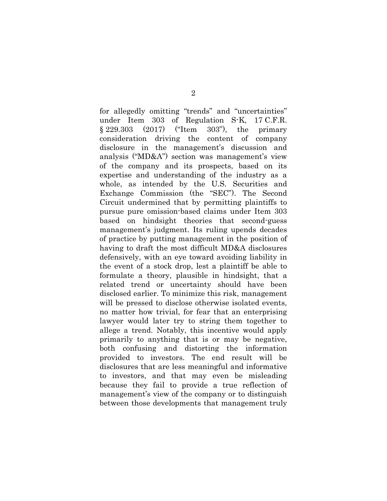for allegedly omitting "trends" and "uncertainties" under Item 303 of Regulation S-K, 17 C.F.R. § 229.303 (2017) ("Item 303"), the primary consideration driving the content of company disclosure in the management's discussion and analysis ("MD&A") section was management's view of the company and its prospects, based on its expertise and understanding of the industry as a whole, as intended by the U.S. Securities and Exchange Commission (the "SEC"). The Second Circuit undermined that by permitting plaintiffs to pursue pure omission-based claims under Item 303 based on hindsight theories that second-guess management's judgment. Its ruling upends decades of practice by putting management in the position of having to draft the most difficult MD&A disclosures defensively, with an eye toward avoiding liability in the event of a stock drop, lest a plaintiff be able to formulate a theory, plausible in hindsight, that a related trend or uncertainty should have been disclosed earlier. To minimize this risk, management will be pressed to disclose otherwise isolated events, no matter how trivial, for fear that an enterprising lawyer would later try to string them together to allege a trend. Notably, this incentive would apply primarily to anything that is or may be negative, both confusing and distorting the information provided to investors. The end result will be disclosures that are less meaningful and informative to investors, and that may even be misleading because they fail to provide a true reflection of management's view of the company or to distinguish between those developments that management truly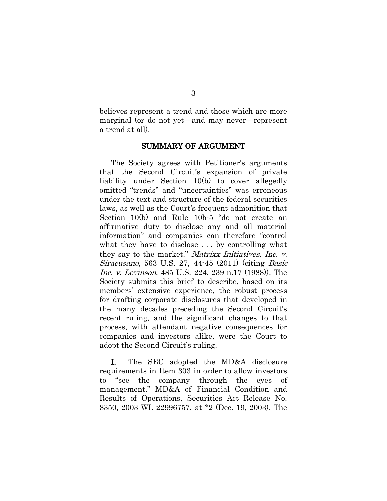believes represent a trend and those which are more marginal (or do not yet—and may never—represent a trend at all).

#### SUMMARY OF ARGUMENT

<span id="page-14-0"></span>The Society agrees with Petitioner's arguments that the Second Circuit's expansion of private liability under Section 10(b) to cover allegedly omitted "trends" and "uncertainties" was erroneous under the text and structure of the federal securities laws, as well as the Court's frequent admonition that Section 10(b) and Rule 10b-5 "do not create an affirmative duty to disclose any and all material information" and companies can therefore "control what they have to disclose . . . by controlling what they say to the market." Matrixx Initiatives, Inc. v. Siracusano, 563 U.S. 27, 44-45 (2011) (citing Basic Inc. v. Levinson, 485 U.S. 224, 239 n.17 (1988)). The Society submits this brief to describe, based on its members' extensive experience, the robust process for drafting corporate disclosures that developed in the many decades preceding the Second Circuit's recent ruling, and the significant changes to that process, with attendant negative consequences for companies and investors alike, were the Court to adopt the Second Circuit's ruling.

I. The SEC adopted the MD&A disclosure requirements in Item 303 in order to allow investors to "see the company through the eyes of management." MD&A of Financial Condition and Results of Operations, Securities Act Release No. 8350, 2003 WL 22996757, at \*2 (Dec. 19, 2003). The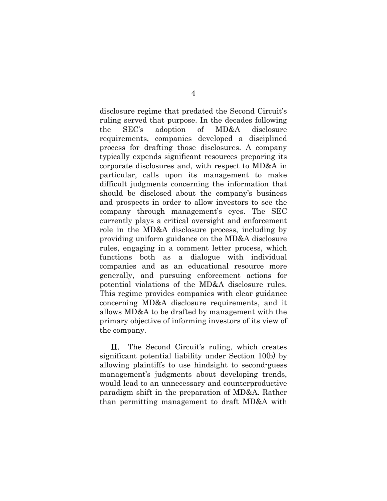disclosure regime that predated the Second Circuit's ruling served that purpose. In the decades following the SEC's adoption of MD&A disclosure requirements, companies developed a disciplined process for drafting those disclosures. A company typically expends significant resources preparing its corporate disclosures and, with respect to MD&A in particular, calls upon its management to make difficult judgments concerning the information that should be disclosed about the company's business and prospects in order to allow investors to see the company through management's eyes. The SEC currently plays a critical oversight and enforcement role in the MD&A disclosure process, including by providing uniform guidance on the MD&A disclosure rules, engaging in a comment letter process, which functions both as a dialogue with individual companies and as an educational resource more generally, and pursuing enforcement actions for potential violations of the MD&A disclosure rules. This regime provides companies with clear guidance concerning MD&A disclosure requirements, and it allows MD&A to be drafted by management with the primary objective of informing investors of its view of the company.

II. The Second Circuit's ruling, which creates significant potential liability under Section 10(b) by allowing plaintiffs to use hindsight to second-guess management's judgments about developing trends, would lead to an unnecessary and counterproductive paradigm shift in the preparation of MD&A. Rather than permitting management to draft MD&A with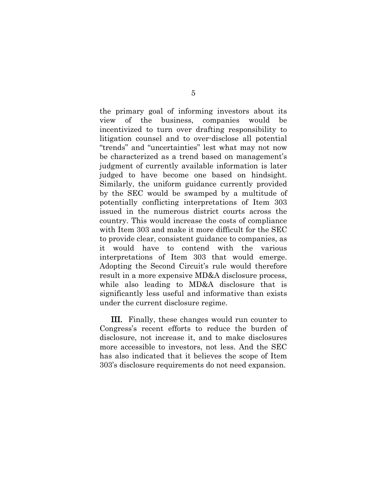the primary goal of informing investors about its view of the business, companies would be incentivized to turn over drafting responsibility to litigation counsel and to over-disclose all potential "trends" and "uncertainties" lest what may not now be characterized as a trend based on management's judgment of currently available information is later judged to have become one based on hindsight. Similarly, the uniform guidance currently provided by the SEC would be swamped by a multitude of potentially conflicting interpretations of Item 303 issued in the numerous district courts across the country. This would increase the costs of compliance with Item 303 and make it more difficult for the SEC to provide clear, consistent guidance to companies, as it would have to contend with the various interpretations of Item 303 that would emerge. Adopting the Second Circuit's rule would therefore result in a more expensive MD&A disclosure process, while also leading to MD&A disclosure that is significantly less useful and informative than exists under the current disclosure regime.

III. Finally, these changes would run counter to Congress's recent efforts to reduce the burden of disclosure, not increase it, and to make disclosures more accessible to investors, not less. And the SEC has also indicated that it believes the scope of Item 303's disclosure requirements do not need expansion.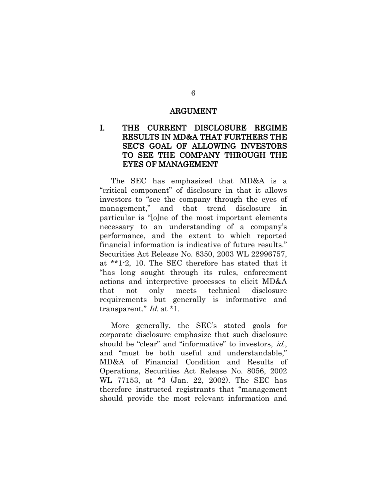#### ARGUMENT

### <span id="page-17-1"></span><span id="page-17-0"></span>I. THE CURRENT DISCLOSURE REGIME RESULTS IN MD&A THAT FURTHERS THE SEC'S GOAL OF ALLOWING INVESTORS TO SEE THE COMPANY THROUGH THE EYES OF MANAGEMENT

The SEC has emphasized that MD&A is a "critical component" of disclosure in that it allows investors to "see the company through the eyes of management," and that trend disclosure in particular is "[o]ne of the most important elements necessary to an understanding of a company's performance, and the extent to which reported financial information is indicative of future results." Securities Act Release No. 8350, 2003 WL 22996757, at \*\*1-2, 10. The SEC therefore has stated that it "has long sought through its rules, enforcement actions and interpretive processes to elicit MD&A that not only meets technical disclosure requirements but generally is informative and transparent." Id. at \*1.

More generally, the SEC's stated goals for corporate disclosure emphasize that such disclosure should be "clear" and "informative" to investors, *id.*, and "must be both useful and understandable," MD&A of Financial Condition and Results of Operations, Securities Act Release No. 8056, 2002 WL 77153, at \*3 (Jan. 22, 2002). The SEC has therefore instructed registrants that "management should provide the most relevant information and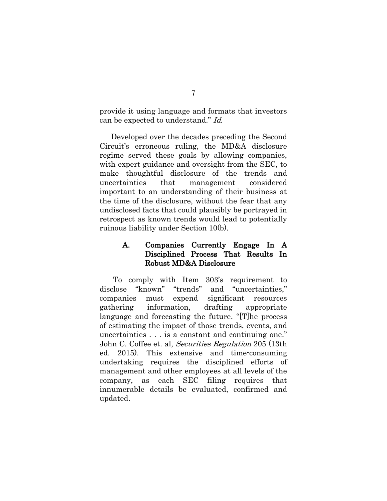provide it using language and formats that investors can be expected to understand." Id.

Developed over the decades preceding the Second Circuit's erroneous ruling, the MD&A disclosure regime served these goals by allowing companies, with expert guidance and oversight from the SEC, to make thoughtful disclosure of the trends and uncertainties that management considered important to an understanding of their business at the time of the disclosure, without the fear that any undisclosed facts that could plausibly be portrayed in retrospect as known trends would lead to potentially ruinous liability under Section 10(b).

### <span id="page-18-0"></span>A. Companies Currently Engage In A Disciplined Process That Results In Robust MD&A Disclosure

To comply with Item 303's requirement to disclose "known" "trends" and "uncertainties," companies must expend significant resources gathering information, drafting appropriate language and forecasting the future. "[T]he process of estimating the impact of those trends, events, and uncertainties . . . is a constant and continuing one." John C. Coffee et. al, Securities Regulation 205 (13th ed. 2015). This extensive and time-consuming undertaking requires the disciplined efforts of management and other employees at all levels of the company, as each SEC filing requires that innumerable details be evaluated, confirmed and updated.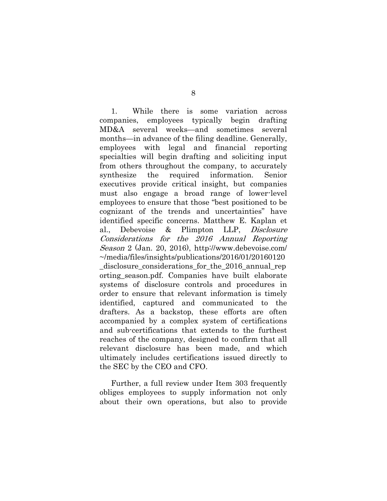1. While there is some variation across companies, employees typically begin drafting MD&A several weeks—and sometimes several months—in advance of the filing deadline. Generally, employees with legal and financial reporting specialties will begin drafting and soliciting input from others throughout the company, to accurately synthesize the required information. Senior executives provide critical insight, but companies must also engage a broad range of lower-level employees to ensure that those "best positioned to be cognizant of the trends and uncertainties" have identified specific concerns. Matthew E. Kaplan et al., Debevoise & Plimpton LLP, Disclosure Considerations for the 2016 Annual Reporting Season 2 (Jan. 20, 2016), http://www.debevoise.com/ ~/media/files/insights/publications/2016/01/20160120 \_disclosure\_considerations\_for\_the\_2016\_annual\_rep orting\_season.pdf. Companies have built elaborate systems of disclosure controls and procedures in order to ensure that relevant information is timely identified, captured and communicated to the drafters. As a backstop, these efforts are often accompanied by a complex system of certifications and sub-certifications that extends to the furthest reaches of the company, designed to confirm that all relevant disclosure has been made, and which ultimately includes certifications issued directly to the SEC by the CEO and CFO.

Further, a full review under Item 303 frequently obliges employees to supply information not only about their own operations, but also to provide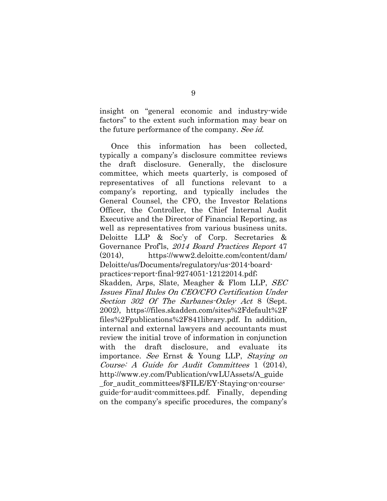insight on "general economic and industry-wide factors" to the extent such information may bear on the future performance of the company. See id.

Once this information has been collected, typically a company's disclosure committee reviews the draft disclosure. Generally, the disclosure committee, which meets quarterly, is composed of representatives of all functions relevant to a company's reporting, and typically includes the General Counsel, the CFO, the Investor Relations Officer, the Controller, the Chief Internal Audit Executive and the Director of Financial Reporting, as well as representatives from various business units. Deloitte LLP & Soc'y of Corp. Secretaries & Governance Prof'ls, 2014 Board Practices Report 47 (2014), https://www2.deloitte.com/content/dam/ Deloitte/us/Documents/regulatory/us-2014-boardpractices-report-final-9274051-12122014.pdf; Skadden, Arps, Slate, Meagher & Flom LLP, SEC Issues Final Rules On CEO/CFO Certification Under Section 302 Of The Sarbanes-Oxley Act 8 (Sept. 2002), https://files.skadden.com/sites%2Fdefault%2F files%2Fpublications%2F841library.pdf. In addition, internal and external lawyers and accountants must review the initial trove of information in conjunction with the draft disclosure, and evaluate its importance. See Ernst & Young LLP, Staying on Course: A Guide for Audit Committees 1 (2014), http://www.ey.com/Publication/vwLUAssets/A\_guide \_for\_audit\_committees/\$FILE/EY-Staying-on-course-

guide-for-audit-committees.pdf. Finally, depending on the company's specific procedures, the company's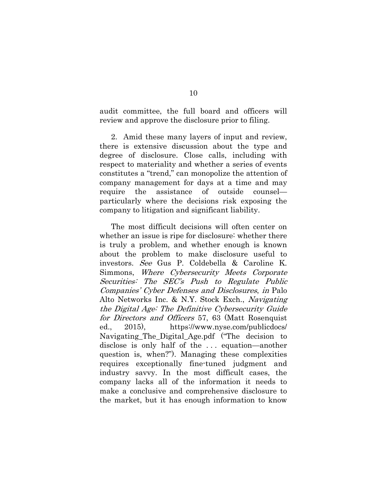audit committee, the full board and officers will review and approve the disclosure prior to filing.

2. Amid these many layers of input and review, there is extensive discussion about the type and degree of disclosure. Close calls, including with respect to materiality and whether a series of events constitutes a "trend," can monopolize the attention of company management for days at a time and may require the assistance of outside counsel particularly where the decisions risk exposing the company to litigation and significant liability.

The most difficult decisions will often center on whether an issue is ripe for disclosure: whether there is truly a problem, and whether enough is known about the problem to make disclosure useful to investors. See Gus P. Coldebella & Caroline K. Simmons, Where Cybersecurity Meets Corporate Securities: The SEC's Push to Regulate Public Companies' Cyber Defenses and Disclosures, in Palo Alto Networks Inc. & N.Y. Stock Exch., Navigating the Digital Age: The Definitive Cybersecurity Guide for Directors and Officers 57, 63 (Matt Rosenquist ed., 2015), https://www.nyse.com/publicdocs/ Navigating\_The\_Digital\_Age.pdf ("The decision to disclose is only half of the . . . equation—another question is, when?"). Managing these complexities requires exceptionally fine-tuned judgment and industry savvy. In the most difficult cases, the company lacks all of the information it needs to make a conclusive and comprehensive disclosure to the market, but it has enough information to know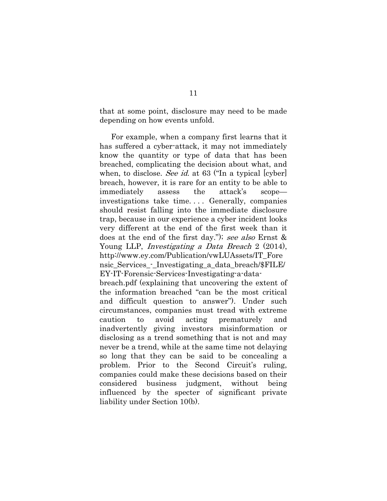that at some point, disclosure may need to be made depending on how events unfold.

For example, when a company first learns that it has suffered a cyber-attack, it may not immediately know the quantity or type of data that has been breached, complicating the decision about what, and when, to disclose. See id. at 63 ("In a typical [cyber] breach, however, it is rare for an entity to be able to immediately assess the attack's scope investigations take time. . . . Generally, companies should resist falling into the immediate disclosure trap, because in our experience a cyber incident looks very different at the end of the first week than it does at the end of the first day."); see also Ernst & Young LLP, Investigating a Data Breach 2 (2014), http://www.ey.com/Publication/vwLUAssets/IT\_Fore nsic Services - Investigating a data breach/\$FILE/ EY-IT-Forensic-Services-Investigating-a-databreach.pdf (explaining that uncovering the extent of the information breached "can be the most critical and difficult question to answer"). Under such circumstances, companies must tread with extreme caution to avoid acting prematurely and inadvertently giving investors misinformation or disclosing as a trend something that is not and may never be a trend, while at the same time not delaying so long that they can be said to be concealing a problem. Prior to the Second Circuit's ruling, companies could make these decisions based on their considered business judgment, without being influenced by the specter of significant private

liability under Section 10(b).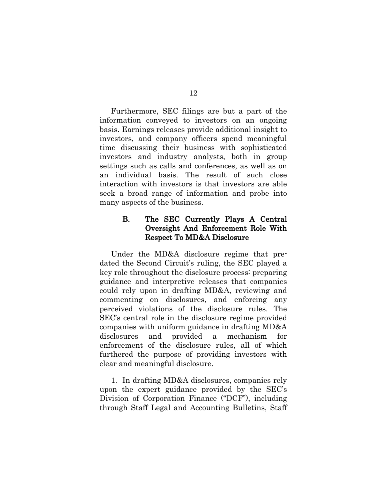Furthermore, SEC filings are but a part of the information conveyed to investors on an ongoing basis. Earnings releases provide additional insight to investors, and company officers spend meaningful time discussing their business with sophisticated investors and industry analysts, both in group settings such as calls and conferences, as well as on an individual basis. The result of such close interaction with investors is that investors are able seek a broad range of information and probe into many aspects of the business.

#### <span id="page-23-0"></span>B. The SEC Currently Plays A Central Oversight And Enforcement Role With Respect To MD&A Disclosure

Under the MD&A disclosure regime that predated the Second Circuit's ruling, the SEC played a key role throughout the disclosure process: preparing guidance and interpretive releases that companies could rely upon in drafting MD&A, reviewing and commenting on disclosures, and enforcing any perceived violations of the disclosure rules. The SEC's central role in the disclosure regime provided companies with uniform guidance in drafting MD&A disclosures and provided a mechanism for enforcement of the disclosure rules, all of which furthered the purpose of providing investors with clear and meaningful disclosure.

1. In drafting MD&A disclosures, companies rely upon the expert guidance provided by the SEC's Division of Corporation Finance ("DCF"), including through Staff Legal and Accounting Bulletins, Staff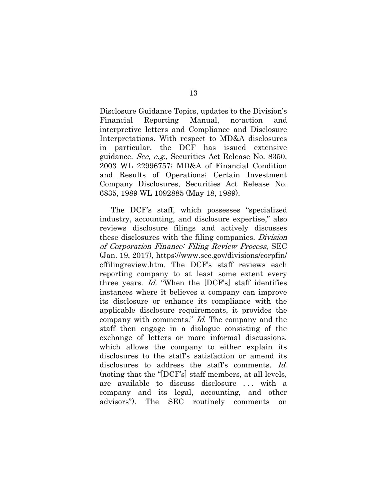Disclosure Guidance Topics, updates to the Division's Financial Reporting Manual, no-action and interpretive letters and Compliance and Disclosure Interpretations. With respect to MD&A disclosures in particular, the DCF has issued extensive guidance. See, e.g., Securities Act Release No. 8350, 2003 WL 22996757; MD&A of Financial Condition and Results of Operations; Certain Investment Company Disclosures, Securities Act Release No. 6835, 1989 WL 1092885 (May 18, 1989).

The DCF's staff, which possesses "specialized industry, accounting, and disclosure expertise," also reviews disclosure filings and actively discusses these disclosures with the filing companies. Division of Corporation Finance: Filing Review Process, SEC (Jan. 19, 2017), https://www.sec.gov/divisions/corpfin/ cffilingreview.htm. The DCF's staff reviews each reporting company to at least some extent every three years. Id. "When the [DCF's] staff identifies instances where it believes a company can improve its disclosure or enhance its compliance with the applicable disclosure requirements, it provides the company with comments." Id. The company and the staff then engage in a dialogue consisting of the exchange of letters or more informal discussions, which allows the company to either explain its disclosures to the staff's satisfaction or amend its disclosures to address the staff's comments. Id. (noting that the "[DCF's] staff members, at all levels, are available to discuss disclosure . . . with a company and its legal, accounting, and other advisors"). The SEC routinely comments on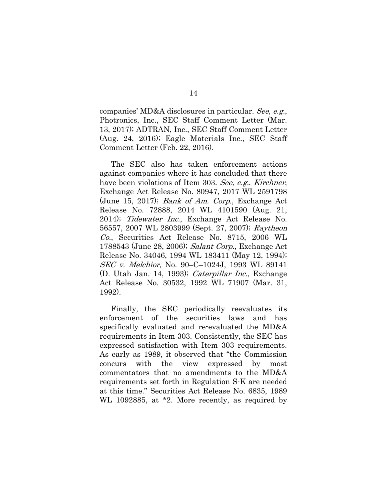companies' MD&A disclosures in particular. See, e.g., Photronics, Inc., SEC Staff Comment Letter (Mar. 13, 2017); ADTRAN, Inc., SEC Staff Comment Letter (Aug. 24, 2016); Eagle Materials Inc., SEC Staff Comment Letter (Feb. 22, 2016).

The SEC also has taken enforcement actions against companies where it has concluded that there have been violations of Item 303. See, e.g., Kirchner, Exchange Act Release No. 80947, 2017 WL 2591798 (June 15, 2017); Bank of Am. Corp., Exchange Act Release No. 72888, 2014 WL 4101590 (Aug. 21, 2014); Tidewater Inc., Exchange Act Release No. 56557, 2007 WL 2803999 (Sept. 27, 2007); Raytheon Co., Securities Act Release No. 8715, 2006 WL 1788543 (June 28, 2006); Salant Corp., Exchange Act Release No. 34046, 1994 WL 183411 (May 12, 1994); SEC v. Melchior, No. 90–C–1024J, 1993 WL 89141 (D. Utah Jan. 14, 1993); Caterpillar Inc., Exchange Act Release No. 30532, 1992 WL 71907 (Mar. 31, 1992).

Finally, the SEC periodically reevaluates its enforcement of the securities laws and has specifically evaluated and re-evaluated the MD&A requirements in Item 303. Consistently, the SEC has expressed satisfaction with Item 303 requirements. As early as 1989, it observed that "the Commission concurs with the view expressed by most commentators that no amendments to the MD&A requirements set forth in Regulation S-K are needed at this time." Securities Act Release No. 6835, 1989 WL 1092885, at \*2. More recently, as required by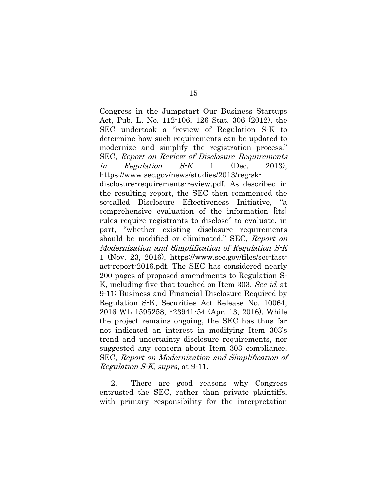Congress in the Jumpstart Our Business Startups Act, Pub. L. No. 112-106, 126 Stat. 306 (2012), the SEC undertook a "review of Regulation S-K to determine how such requirements can be updated to modernize and simplify the registration process." SEC, Report on Review of Disclosure Requirements in Regulation  $S-K$  1 (Dec. 2013), https://www.sec.gov/news/studies/2013/reg-sk-

disclosure-requirements-review.pdf. As described in the resulting report, the SEC then commenced the so-called Disclosure Effectiveness Initiative, "a comprehensive evaluation of the information [its] rules require registrants to disclose" to evaluate, in part, "whether existing disclosure requirements should be modified or eliminated." SEC, Report on Modernization and Simplification of Regulation S-K 1 (Nov. 23, 2016), https://www.sec.gov/files/sec-fastact-report-2016.pdf. The SEC has considered nearly 200 pages of proposed amendments to Regulation S-K, including five that touched on Item 303. See id. at 9-11; Business and Financial Disclosure Required by Regulation S-K, Securities Act Release No. 10064, 2016 WL 1595258, \*23941-54 (Apr. 13, 2016). While the project remains ongoing, the SEC has thus far not indicated an interest in modifying Item 303's trend and uncertainty disclosure requirements, nor suggested any concern about Item 303 compliance. SEC, Report on Modernization and Simplification of Regulation S-K, supra, at 9-11.

2. There are good reasons why Congress entrusted the SEC, rather than private plaintiffs, with primary responsibility for the interpretation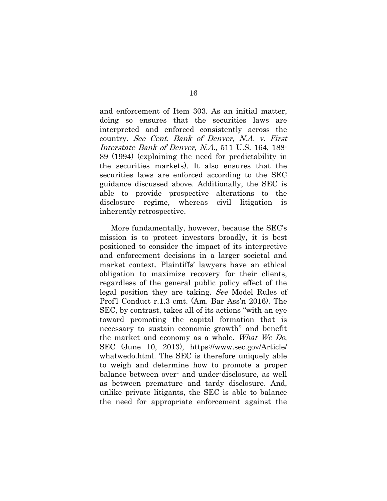and enforcement of Item 303. As an initial matter, doing so ensures that the securities laws are interpreted and enforced consistently across the country. See Cent. Bank of Denver, N.A. v. First Interstate Bank of Denver, N.A., 511 U.S. 164, 188- 89 (1994) (explaining the need for predictability in the securities markets). It also ensures that the securities laws are enforced according to the SEC guidance discussed above. Additionally, the SEC is able to provide prospective alterations to the disclosure regime, whereas civil litigation is inherently retrospective.

More fundamentally, however, because the SEC's mission is to protect investors broadly, it is best positioned to consider the impact of its interpretive and enforcement decisions in a larger societal and market context. Plaintiffs' lawyers have an ethical obligation to maximize recovery for their clients, regardless of the general public policy effect of the legal position they are taking. See Model Rules of Prof'l Conduct r.1.3 cmt. (Am. Bar Ass'n 2016). The SEC, by contrast, takes all of its actions "with an eye toward promoting the capital formation that is necessary to sustain economic growth" and benefit the market and economy as a whole. What We Do, SEC (June 10, 2013), https://www.sec.gov/Article/ whatwedo.html. The SEC is therefore uniquely able to weigh and determine how to promote a proper balance between over- and under-disclosure, as well as between premature and tardy disclosure. And, unlike private litigants, the SEC is able to balance the need for appropriate enforcement against the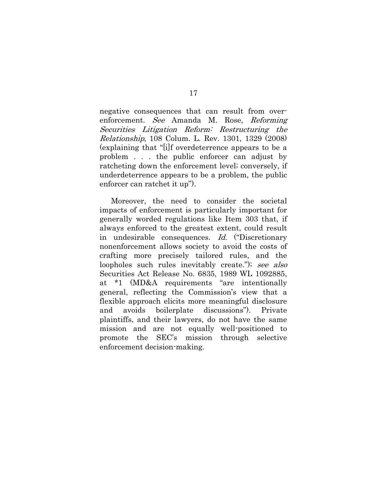negative consequences that can result from overenforcement. See Amanda M. Rose, Reforming Securities Litigation Reform: Restructuring the Relationship, 108 Colum. L. Rev. 1301, 1329 (2008) (explaining that "[i]f overdeterrence appears to be a problem . . . the public enforcer can adjust by ratcheting down the enforcement level; conversely, if underdeterrence appears to be a problem, the public enforcer can ratchet it up").

Moreover, the need to consider the societal impacts of enforcement is particularly important for generally worded regulations like Item 303 that, if always enforced to the greatest extent, could result in undesirable consequences. Id. ("Discretionary nonenforcement allows society to avoid the costs of crafting more precisely tailored rules, and the loopholes such rules inevitably create."); see also Securities Act Release No. 6835, 1989 WL 1092885, at \*1 (MD&A requirements "are intentionally general, reflecting the Commission's view that a flexible approach elicits more meaningful disclosure and avoids boilerplate discussions"). Private plaintiffs, and their lawyers, do not have the same mission and are not equally well-positioned to promote the SEC's mission through selective enforcement decision-making.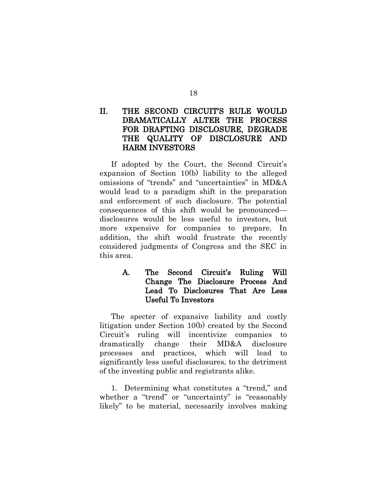### <span id="page-29-0"></span>II. THE SECOND CIRCUIT'S RULE WOULD DRAMATICALLY ALTER THE PROCESS FOR DRAFTING DISCLOSURE, DEGRADE THE QUALITY OF DISCLOSURE AND HARM INVESTORS

If adopted by the Court, the Second Circuit's expansion of Section 10(b) liability to the alleged omissions of "trends" and "uncertainties" in MD&A would lead to a paradigm shift in the preparation and enforcement of such disclosure. The potential consequences of this shift would be pronounced disclosures would be less useful to investors, but more expensive for companies to prepare. In addition, the shift would frustrate the recently considered judgments of Congress and the SEC in this area.

### <span id="page-29-1"></span>A. The Second Circuit's Ruling Will Change The Disclosure Process And Lead To Disclosures That Are Less Useful To Investors

The specter of expansive liability and costly litigation under Section 10(b) created by the Second Circuit's ruling will incentivize companies to dramatically change their MD&A disclosure processes and practices, which will lead to significantly less useful disclosures, to the detriment of the investing public and registrants alike.

1. Determining what constitutes a "trend," and whether a "trend" or "uncertainty" is "reasonably likely" to be material, necessarily involves making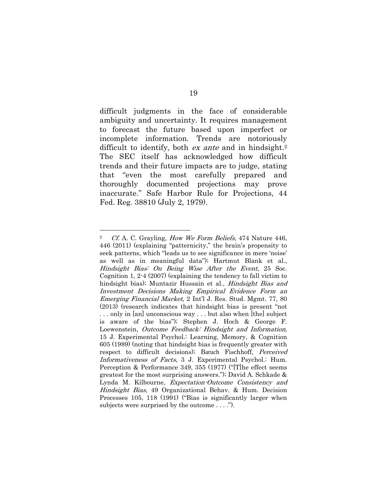difficult judgments in the face of considerable ambiguity and uncertainty. It requires management to forecast the future based upon imperfect or incomplete information. Trends are notoriously difficult to identify, both *ex ante* and in hindsight.<sup>2</sup> The SEC itself has acknowledged how difficult trends and their future impacts are to judge, stating that "even the most carefully prepared and thoroughly documented projections may prove inaccurate." Safe Harbor Rule for Projections, 44 Fed. Reg. 38810 (July 2, 1979).

 $\overline{a}$ 

<sup>&</sup>lt;sup>2</sup> Cf. A. C. Grayling, *How We Form Beliefs*, 474 Nature 446, 446 (2011) (explaining "patternicity," the brain's propensity to seek patterns, which "leads us to see significance in mere 'noise' as well as in meaningful data"); Hartmut Blank et al., Hindsight Bias: On Being Wise After the Event, 25 Soc. Cognition 1, 2-4 (2007) (explaining the tendency to fall victim to hindsight bias); Muntazir Hussain et al., *Hindsight Bias and* Investment Decisions Making Empirical Evidence Form an Emerging Financial Market, 2 Int'l J. Res. Stud. Mgmt. 77, 80 (2013) (research indicates that hindsight bias is present "not . . . only in [an] unconscious way . . . but also when [the] subject is aware of the bias"); Stephen J. Hoch & George F. Loewenstein, Outcome Feedback: Hindsight and Information, 15 J. Experimental Psychol.: Learning, Memory, & Cognition 605 (1989) (noting that hindsight bias is frequently greater with respect to difficult decisions); Baruch Fischhoff, Perceived Informativeness of Facts, 3 J. Experimental Psychol.: Hum. Perception & Performance 349, 355 (1977) ("[T]he effect seems greatest for the most surprising answers."); David A. Schkade & Lynda M. Kilbourne, Expectation-Outcome Consistency and Hindsight Bias, 49 Organizational Behav. & Hum. Decision Processes 105, 118 (1991) ("Bias is significantly larger when subjects were surprised by the outcome . . . .").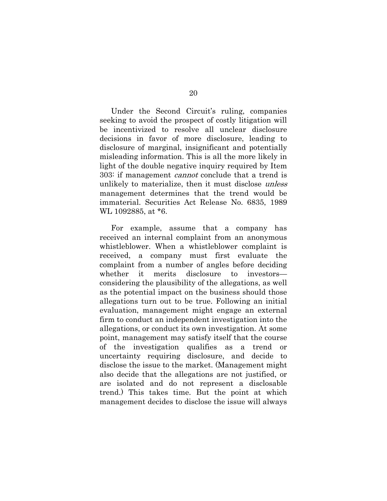Under the Second Circuit's ruling, companies seeking to avoid the prospect of costly litigation will be incentivized to resolve all unclear disclosure decisions in favor of more disclosure, leading to disclosure of marginal, insignificant and potentially misleading information. This is all the more likely in light of the double negative inquiry required by Item 303: if management cannot conclude that a trend is unlikely to materialize, then it must disclose *unless* management determines that the trend would be immaterial. Securities Act Release No. 6835, 1989 WL 1092885, at \*6.

For example, assume that a company has received an internal complaint from an anonymous whistleblower. When a whistleblower complaint is received, a company must first evaluate the complaint from a number of angles before deciding whether it merits disclosure to investors considering the plausibility of the allegations, as well as the potential impact on the business should those allegations turn out to be true. Following an initial evaluation, management might engage an external firm to conduct an independent investigation into the allegations, or conduct its own investigation. At some point, management may satisfy itself that the course of the investigation qualifies as a trend or uncertainty requiring disclosure, and decide to disclose the issue to the market. (Management might also decide that the allegations are not justified, or are isolated and do not represent a disclosable trend.) This takes time. But the point at which management decides to disclose the issue will always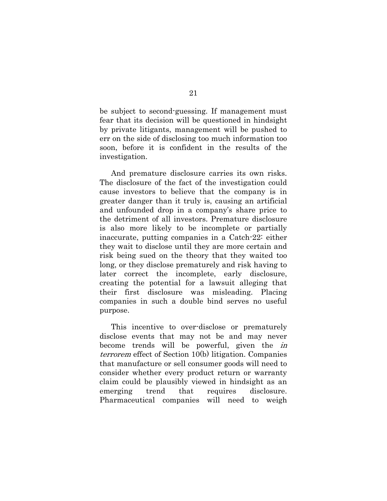be subject to second-guessing. If management must fear that its decision will be questioned in hindsight by private litigants, management will be pushed to err on the side of disclosing too much information too soon, before it is confident in the results of the investigation.

And premature disclosure carries its own risks. The disclosure of the fact of the investigation could cause investors to believe that the company is in greater danger than it truly is, causing an artificial and unfounded drop in a company's share price to the detriment of all investors. Premature disclosure is also more likely to be incomplete or partially inaccurate, putting companies in a Catch-22: either they wait to disclose until they are more certain and risk being sued on the theory that they waited too long, or they disclose prematurely and risk having to later correct the incomplete, early disclosure, creating the potential for a lawsuit alleging that their first disclosure was misleading. Placing companies in such a double bind serves no useful purpose.

This incentive to over-disclose or prematurely disclose events that may not be and may never become trends will be powerful, given the in terrorem effect of Section 10(b) litigation. Companies that manufacture or sell consumer goods will need to consider whether every product return or warranty claim could be plausibly viewed in hindsight as an emerging trend that requires disclosure. Pharmaceutical companies will need to weigh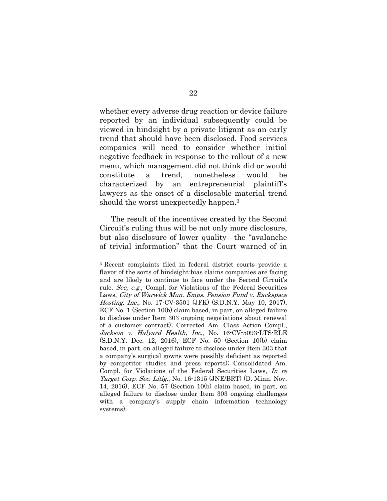whether every adverse drug reaction or device failure reported by an individual subsequently could be viewed in hindsight by a private litigant as an early trend that should have been disclosed. Food services companies will need to consider whether initial negative feedback in response to the rollout of a new menu, which management did not think did or would constitute a trend, nonetheless would be characterized by an entrepreneurial plaintiff's lawyers as the onset of a disclosable material trend should the worst unexpectedly happen. 3

The result of the incentives created by the Second Circuit's ruling thus will be not only more disclosure, but also disclosure of lower quality—the "avalanche of trivial information" that the Court warned of in

 $\overline{a}$ 

<sup>3</sup> Recent complaints filed in federal district courts provide a flavor of the sorts of hindsight-bias claims companies are facing and are likely to continue to face under the Second Circuit's rule. See, e.g., Compl. for Violations of the Federal Securities Laws, City of Warwick Mun. Emps. Pension Fund v. Rackspace Hosting, Inc., No. 17-CV-3501 (JFK) (S.D.N.Y. May 10, 2017), ECF No. 1 (Section 10(b) claim based, in part, on alleged failure to disclose under Item 303 ongoing negotiations about renewal of a customer contract); Corrected Am. Class Action Compl., Jackson v. Halyard Health, Inc., No. 16-CV-5093-LTS-RLE (S.D.N.Y. Dec. 12, 2016), ECF No. 50 (Section 10(b) claim based, in part, on alleged failure to disclose under Item 303 that a company's surgical gowns were possibly deficient as reported by competitor studies and press reports); Consolidated Am. Compl. for Violations of the Federal Securities Laws, In re Target Corp. Sec. Litig., No. 16-1315 (JNE/BRT) (D. Minn. Nov. 14, 2016), ECF No. 57 (Section 10(b) claim based, in part, on alleged failure to disclose under Item 303 ongoing challenges with a company's supply chain information technology systems).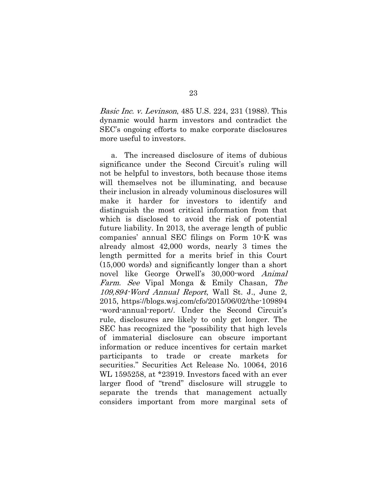Basic Inc. v. Levinson, 485 U.S. 224, 231 (1988). This dynamic would harm investors and contradict the SEC's ongoing efforts to make corporate disclosures more useful to investors.

a. The increased disclosure of items of dubious significance under the Second Circuit's ruling will not be helpful to investors, both because those items will themselves not be illuminating, and because their inclusion in already voluminous disclosures will make it harder for investors to identify and distinguish the most critical information from that which is disclosed to avoid the risk of potential future liability. In 2013, the average length of public companies' annual SEC filings on Form 10-K was already almost 42,000 words, nearly 3 times the length permitted for a merits brief in this Court (15,000 words) and significantly longer than a short novel like George Orwell's 30,000-word Animal Farm. See Vipal Monga & Emily Chasan, The 109,894-Word Annual Report, Wall St. J., June 2, 2015, https://blogs.wsj.com/cfo/2015/06/02/the-109894 -word-annual-report/. Under the Second Circuit's rule, disclosures are likely to only get longer. The SEC has recognized the "possibility that high levels of immaterial disclosure can obscure important information or reduce incentives for certain market participants to trade or create markets for securities." Securities Act Release No. 10064, 2016 WL 1595258, at \*23919. Investors faced with an ever larger flood of "trend" disclosure will struggle to separate the trends that management actually considers important from more marginal sets of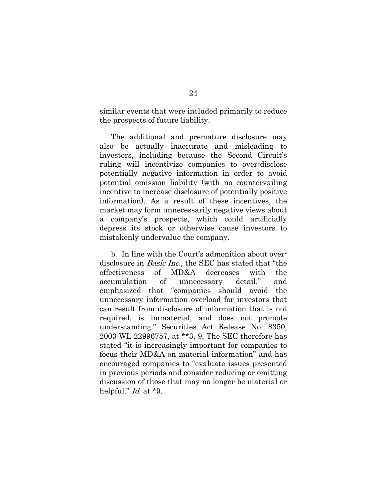similar events that were included primarily to reduce the prospects of future liability.

The additional and premature disclosure may also be actually inaccurate and misleading to investors, including because the Second Circuit's ruling will incentivize companies to over-disclose potentially negative information in order to avoid potential omission liability (with no countervailing incentive to increase disclosure of potentially positive information). As a result of these incentives, the market may form unnecessarily negative views about a company's prospects, which could artificially depress its stock or otherwise cause investors to mistakenly undervalue the company.

b. In line with the Court's admonition about overdisclosure in Basic Inc., the SEC has stated that "the effectiveness of MD&A decreases with the accumulation of unnecessary detail," and emphasized that "companies should avoid the unnecessary information overload for investors that can result from disclosure of information that is not required, is immaterial, and does not promote understanding." Securities Act Release No. 8350, 2003 WL 22996757, at \*\*3, 9. The SEC therefore has stated "it is increasingly important for companies to focus their MD&A on material information" and has encouraged companies to "evaluate issues presented in previous periods and consider reducing or omitting discussion of those that may no longer be material or helpful." *Id.* at \*9.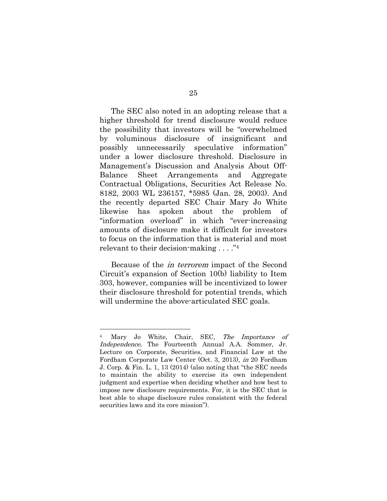The SEC also noted in an adopting release that a higher threshold for trend disclosure would reduce the possibility that investors will be "overwhelmed by voluminous disclosure of insignificant and possibly unnecessarily speculative information" under a lower disclosure threshold. Disclosure in Management's Discussion and Analysis About Off-Balance Sheet Arrangements and Aggregate Contractual Obligations, Securities Act Release No. 8182, 2003 WL 236157, \*5985 (Jan. 28, 2003). And the recently departed SEC Chair Mary Jo White likewise has spoken about the problem of "information overload" in which "ever-increasing amounts of disclosure make it difficult for investors to focus on the information that is material and most relevant to their decision-making . . . ." 4

Because of the in terrorem impact of the Second Circuit's expansion of Section 10(b) liability to Item 303, however, companies will be incentivized to lower their disclosure threshold for potential trends, which will undermine the above-articulated SEC goals.

 $\overline{a}$ 

Mary Jo White, Chair, SEC, The Importance of Independence, The Fourteenth Annual A.A. Sommer, Jr. Lecture on Corporate, Securities, and Financial Law at the Fordham Corporate Law Center (Oct. 3, 2013), in 20 Fordham J. Corp. & Fin. L. 1, 13 (2014) (also noting that "the SEC needs to maintain the ability to exercise its own independent judgment and expertise when deciding whether and how best to impose new disclosure requirements. For, it is the SEC that is best able to shape disclosure rules consistent with the federal securities laws and its core mission").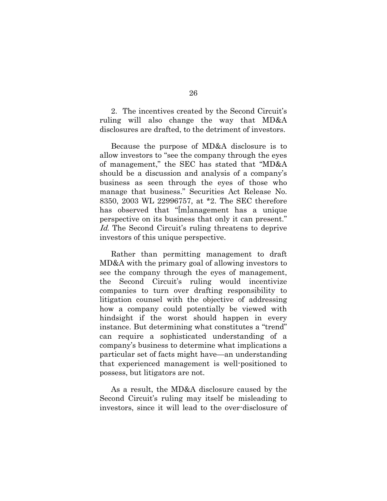2. The incentives created by the Second Circuit's ruling will also change the way that MD&A disclosures are drafted, to the detriment of investors.

Because the purpose of MD&A disclosure is to allow investors to "see the company through the eyes of management," the SEC has stated that "MD&A should be a discussion and analysis of a company's business as seen through the eyes of those who manage that business." Securities Act Release No. 8350, 2003 WL 22996757, at \*2. The SEC therefore has observed that "[m]anagement has a unique perspective on its business that only it can present." Id. The Second Circuit's ruling threatens to deprive investors of this unique perspective.

Rather than permitting management to draft MD&A with the primary goal of allowing investors to see the company through the eyes of management, the Second Circuit's ruling would incentivize companies to turn over drafting responsibility to litigation counsel with the objective of addressing how a company could potentially be viewed with hindsight if the worst should happen in every instance. But determining what constitutes a "trend" can require a sophisticated understanding of a company's business to determine what implications a particular set of facts might have—an understanding that experienced management is well-positioned to possess, but litigators are not.

As a result, the MD&A disclosure caused by the Second Circuit's ruling may itself be misleading to investors, since it will lead to the over-disclosure of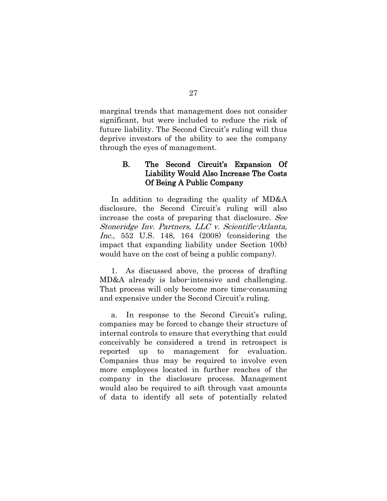marginal trends that management does not consider significant, but were included to reduce the risk of future liability. The Second Circuit's ruling will thus deprive investors of the ability to see the company through the eyes of management.

#### <span id="page-38-0"></span>B. The Second Circuit's Expansion Of Liability Would Also Increase The Costs Of Being A Public Company

In addition to degrading the quality of MD&A disclosure, the Second Circuit's ruling will also increase the costs of preparing that disclosure. See Stoneridge Inv. Partners, LLC v. Scientific-Atlanta, Inc., 552 U.S. 148, 164 (2008) (considering the impact that expanding liability under Section 10(b) would have on the cost of being a public company).

1. As discussed above, the process of drafting MD&A already is labor-intensive and challenging. That process will only become more time-consuming and expensive under the Second Circuit's ruling.

a. In response to the Second Circuit's ruling, companies may be forced to change their structure of internal controls to ensure that everything that could conceivably be considered a trend in retrospect is reported up to management for evaluation. Companies thus may be required to involve even more employees located in further reaches of the company in the disclosure process. Management would also be required to sift through vast amounts of data to identify all sets of potentially related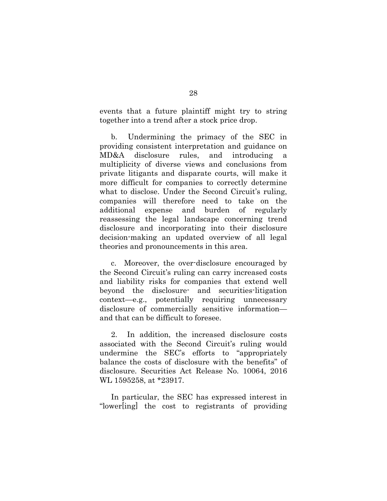events that a future plaintiff might try to string together into a trend after a stock price drop.

b. Undermining the primacy of the SEC in providing consistent interpretation and guidance on MD&A disclosure rules, and introducing a multiplicity of diverse views and conclusions from private litigants and disparate courts, will make it more difficult for companies to correctly determine what to disclose. Under the Second Circuit's ruling, companies will therefore need to take on the additional expense and burden of regularly reassessing the legal landscape concerning trend disclosure and incorporating into their disclosure decision-making an updated overview of all legal theories and pronouncements in this area.

c. Moreover, the over-disclosure encouraged by the Second Circuit's ruling can carry increased costs and liability risks for companies that extend well beyond the disclosure- and securities-litigation context—e.g., potentially requiring unnecessary disclosure of commercially sensitive information and that can be difficult to foresee.

2. In addition, the increased disclosure costs associated with the Second Circuit's ruling would undermine the SEC's efforts to "appropriately balance the costs of disclosure with the benefits" of disclosure. Securities Act Release No. 10064, 2016 WL 1595258, at \*23917.

In particular, the SEC has expressed interest in "lower[ing] the cost to registrants of providing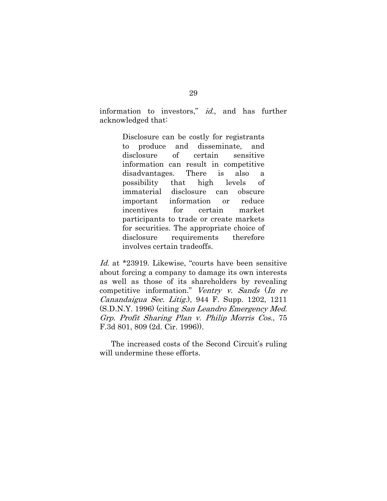information to investors," *id.*, and has further acknowledged that:

> Disclosure can be costly for registrants to produce and disseminate, and disclosure of certain sensitive information can result in competitive disadvantages. There is also a possibility that high levels of immaterial disclosure can obscure important information or reduce incentives for certain market participants to trade or create markets for securities. The appropriate choice of disclosure requirements therefore involves certain tradeoffs.

Id. at \*23919. Likewise, "courts have been sensitive about forcing a company to damage its own interests as well as those of its shareholders by revealing competitive information." Ventry v. Sands (In re Canandaigua Sec. Litig.), 944 F. Supp. 1202, 1211 (S.D.N.Y. 1996) (citing San Leandro Emergency Med. Grp. Profit Sharing Plan v. Philip Morris Cos., 75 F.3d 801, 809 (2d. Cir. 1996)).

The increased costs of the Second Circuit's ruling will undermine these efforts.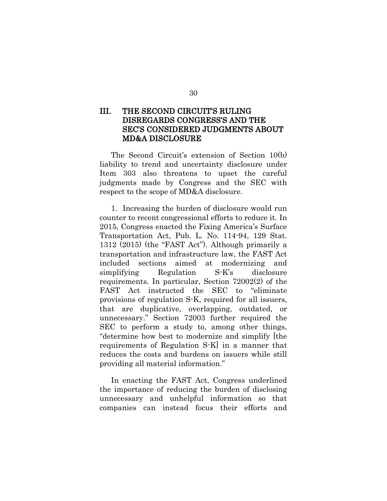### <span id="page-41-0"></span>III. THE SECOND CIRCUIT'S RULING DISREGARDS CONGRESS'S AND THE SEC'S CONSIDERED JUDGMENTS ABOUT MD&A DISCLOSURE

The Second Circuit's extension of Section 10(b) liability to trend and uncertainty disclosure under Item 303 also threatens to upset the careful judgments made by Congress and the SEC with respect to the scope of MD&A disclosure.

1. Increasing the burden of disclosure would run counter to recent congressional efforts to reduce it. In 2015, Congress enacted the Fixing America's Surface Transportation Act, Pub. L. No. 114-94, 129 Stat. 1312 (2015) (the "FAST Act"). Although primarily a transportation and infrastructure law, the FAST Act included sections aimed at modernizing and simplifying Regulation S-K's disclosure requirements. In particular, Section 72002(2) of the FAST Act instructed the SEC to "eliminate provisions of regulation S-K, required for all issuers, that are duplicative, overlapping, outdated, or unnecessary." Section 72003 further required the SEC to perform a study to, among other things, "determine how best to modernize and simplify [the requirements of Regulation S-K] in a manner that reduces the costs and burdens on issuers while still providing all material information."

In enacting the FAST Act, Congress underlined the importance of reducing the burden of disclosing unnecessary and unhelpful information so that companies can instead focus their efforts and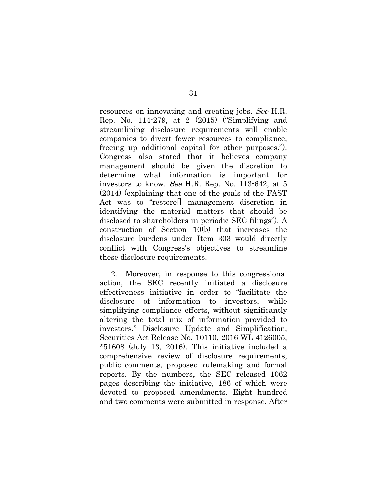resources on innovating and creating jobs. See H.R. Rep. No. 114-279, at 2 (2015) ("Simplifying and streamlining disclosure requirements will enable companies to divert fewer resources to compliance, freeing up additional capital for other purposes."). Congress also stated that it believes company management should be given the discretion to determine what information is important for investors to know. See H.R. Rep. No. 113-642, at 5 (2014) (explaining that one of the goals of the FAST Act was to "restore[] management discretion in identifying the material matters that should be disclosed to shareholders in periodic SEC filings"). A construction of Section 10(b) that increases the disclosure burdens under Item 303 would directly conflict with Congress's objectives to streamline these disclosure requirements.

2. Moreover, in response to this congressional action, the SEC recently initiated a disclosure effectiveness initiative in order to "facilitate the disclosure of information to investors, while simplifying compliance efforts, without significantly altering the total mix of information provided to investors." Disclosure Update and Simplification, Securities Act Release No. 10110, 2016 WL 4126005, \*51608 (July 13, 2016). This initiative included a comprehensive review of disclosure requirements, public comments, proposed rulemaking and formal reports. By the numbers, the SEC released 1062 pages describing the initiative, 186 of which were devoted to proposed amendments. Eight hundred and two comments were submitted in response. After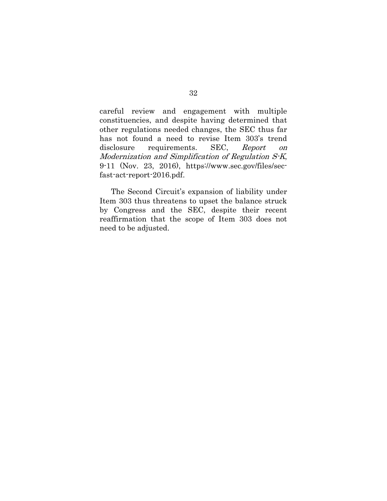careful review and engagement with multiple constituencies, and despite having determined that other regulations needed changes, the SEC thus far has not found a need to revise Item 303's trend disclosure requirements. SEC, Report on Modernization and Simplification of Regulation S-K, 9-11 (Nov. 23, 2016), https://www.sec.gov/files/secfast-act-report-2016.pdf.

The Second Circuit's expansion of liability under Item 303 thus threatens to upset the balance struck by Congress and the SEC, despite their recent reaffirmation that the scope of Item 303 does not need to be adjusted.